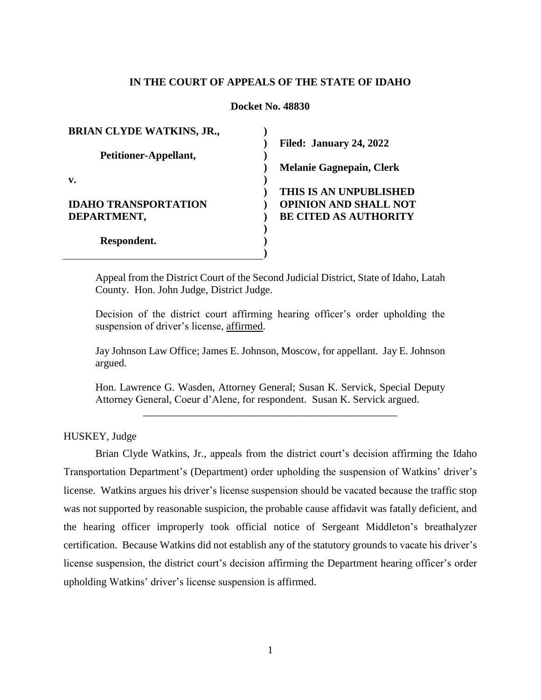## **IN THE COURT OF APPEALS OF THE STATE OF IDAHO**

#### **Docket No. 48830**

| <b>BRIAN CLYDE WATKINS, JR.,</b> |                                 |
|----------------------------------|---------------------------------|
|                                  | Filed: January 24, 2022         |
| Petitioner-Appellant,            |                                 |
|                                  | <b>Melanie Gagnepain, Clerk</b> |
| v.                               |                                 |
|                                  | THIS IS AN UNPUBLISHED          |
| <b>IDAHO TRANSPORTATION</b>      | <b>OPINION AND SHALL NOT</b>    |
| DEPARTMENT,                      | <b>BE CITED AS AUTHORITY</b>    |
|                                  |                                 |
| Respondent.                      |                                 |
|                                  |                                 |

Appeal from the District Court of the Second Judicial District, State of Idaho, Latah County. Hon. John Judge, District Judge.

Decision of the district court affirming hearing officer's order upholding the suspension of driver's license, affirmed.

Jay Johnson Law Office; James E. Johnson, Moscow, for appellant. Jay E. Johnson argued.

Hon. Lawrence G. Wasden, Attorney General; Susan K. Servick, Special Deputy Attorney General, Coeur d'Alene, for respondent. Susan K. Servick argued. \_\_\_\_\_\_\_\_\_\_\_\_\_\_\_\_\_\_\_\_\_\_\_\_\_\_\_\_\_\_\_\_\_\_\_\_\_\_\_\_\_\_\_\_\_\_\_\_

HUSKEY, Judge

Brian Clyde Watkins, Jr., appeals from the district court's decision affirming the Idaho Transportation Department's (Department) order upholding the suspension of Watkins' driver's license. Watkins argues his driver's license suspension should be vacated because the traffic stop was not supported by reasonable suspicion, the probable cause affidavit was fatally deficient, and the hearing officer improperly took official notice of Sergeant Middleton's breathalyzer certification. Because Watkins did not establish any of the statutory grounds to vacate his driver's license suspension, the district court's decision affirming the Department hearing officer's order upholding Watkins' driver's license suspension is affirmed.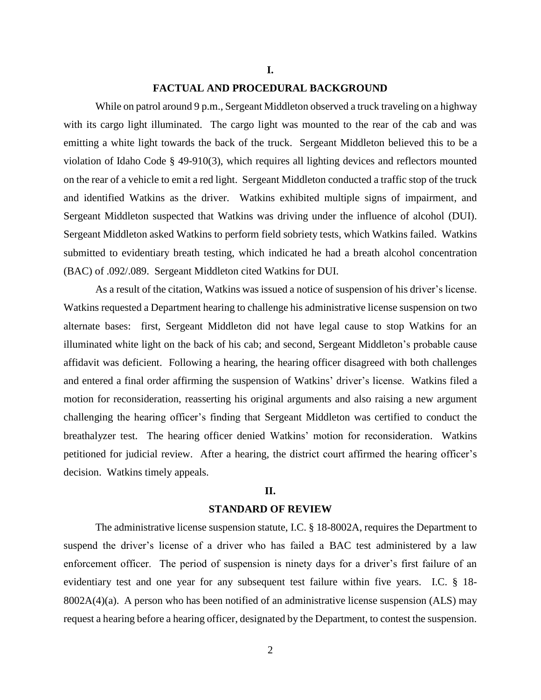#### **I.**

#### **FACTUAL AND PROCEDURAL BACKGROUND**

While on patrol around 9 p.m., Sergeant Middleton observed a truck traveling on a highway with its cargo light illuminated. The cargo light was mounted to the rear of the cab and was emitting a white light towards the back of the truck. Sergeant Middleton believed this to be a violation of Idaho Code § 49-910(3), which requires all lighting devices and reflectors mounted on the rear of a vehicle to emit a red light. Sergeant Middleton conducted a traffic stop of the truck and identified Watkins as the driver. Watkins exhibited multiple signs of impairment, and Sergeant Middleton suspected that Watkins was driving under the influence of alcohol (DUI). Sergeant Middleton asked Watkins to perform field sobriety tests, which Watkins failed. Watkins submitted to evidentiary breath testing, which indicated he had a breath alcohol concentration (BAC) of .092/.089. Sergeant Middleton cited Watkins for DUI.

As a result of the citation, Watkins was issued a notice of suspension of his driver's license. Watkins requested a Department hearing to challenge his administrative license suspension on two alternate bases: first, Sergeant Middleton did not have legal cause to stop Watkins for an illuminated white light on the back of his cab; and second, Sergeant Middleton's probable cause affidavit was deficient. Following a hearing, the hearing officer disagreed with both challenges and entered a final order affirming the suspension of Watkins' driver's license. Watkins filed a motion for reconsideration, reasserting his original arguments and also raising a new argument challenging the hearing officer's finding that Sergeant Middleton was certified to conduct the breathalyzer test. The hearing officer denied Watkins' motion for reconsideration. Watkins petitioned for judicial review. After a hearing, the district court affirmed the hearing officer's decision. Watkins timely appeals.

#### **II.**

#### **STANDARD OF REVIEW**

The administrative license suspension statute, I.C. § 18-8002A, requires the Department to suspend the driver's license of a driver who has failed a BAC test administered by a law enforcement officer. The period of suspension is ninety days for a driver's first failure of an evidentiary test and one year for any subsequent test failure within five years. I.C. § 18- 8002A(4)(a). A person who has been notified of an administrative license suspension (ALS) may request a hearing before a hearing officer, designated by the Department, to contest the suspension.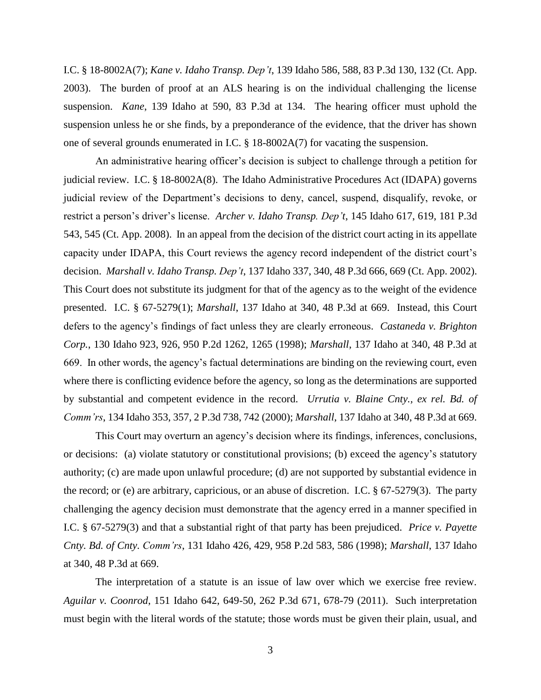I.C. § 18-8002A(7); *Kane v. Idaho Transp. Dep't*, 139 Idaho 586, 588, 83 P.3d 130, 132 (Ct. App. 2003). The burden of proof at an ALS hearing is on the individual challenging the license suspension. *Kane*, 139 Idaho at 590, 83 P.3d at 134. The hearing officer must uphold the suspension unless he or she finds, by a preponderance of the evidence, that the driver has shown one of several grounds enumerated in I.C. § 18-8002A(7) for vacating the suspension.

An administrative hearing officer's decision is subject to challenge through a petition for judicial review. I.C. § 18-8002A(8). The Idaho Administrative Procedures Act (IDAPA) governs judicial review of the Department's decisions to deny, cancel, suspend, disqualify, revoke, or restrict a person's driver's license. *Archer v. Idaho Transp. Dep't*, 145 Idaho 617, 619, 181 P.3d 543, 545 (Ct. App. 2008). In an appeal from the decision of the district court acting in its appellate capacity under IDAPA, this Court reviews the agency record independent of the district court's decision. *Marshall v. Idaho Transp. Dep't*, 137 Idaho 337, 340, 48 P.3d 666, 669 (Ct. App. 2002). This Court does not substitute its judgment for that of the agency as to the weight of the evidence presented. I.C. § 67-5279(1); *Marshall*, 137 Idaho at 340, 48 P.3d at 669. Instead, this Court defers to the agency's findings of fact unless they are clearly erroneous*. Castaneda v. Brighton Corp.*, 130 Idaho 923, 926, 950 P.2d 1262, 1265 (1998); *Marshall*, 137 Idaho at 340, 48 P.3d at 669. In other words, the agency's factual determinations are binding on the reviewing court, even where there is conflicting evidence before the agency, so long as the determinations are supported by substantial and competent evidence in the record. *Urrutia v. Blaine Cnty., ex rel. Bd. of Comm'rs*, 134 Idaho 353, 357, 2 P.3d 738, 742 (2000); *Marshall*, 137 Idaho at 340, 48 P.3d at 669.

This Court may overturn an agency's decision where its findings, inferences, conclusions, or decisions: (a) violate statutory or constitutional provisions; (b) exceed the agency's statutory authority; (c) are made upon unlawful procedure; (d) are not supported by substantial evidence in the record; or (e) are arbitrary, capricious, or an abuse of discretion. I.C. § 67-5279(3). The party challenging the agency decision must demonstrate that the agency erred in a manner specified in I.C. § 67-5279(3) and that a substantial right of that party has been prejudiced. *Price v. Payette Cnty. Bd. of Cnty. Comm'rs*, 131 Idaho 426, 429, 958 P.2d 583, 586 (1998); *Marshall*, 137 Idaho at 340, 48 P.3d at 669.

The interpretation of a statute is an issue of law over which we exercise free review. *Aguilar v. Coonrod*, 151 Idaho 642, 649-50, 262 P.3d 671, 678-79 (2011). Such interpretation must begin with the literal words of the statute; those words must be given their plain, usual, and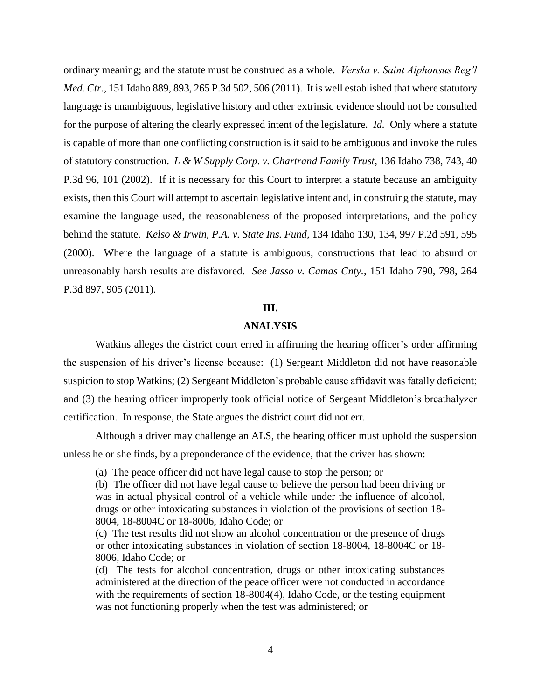ordinary meaning; and the statute must be construed as a whole. *Verska v. Saint Alphonsus Reg'l Med. Ctr.*, 151 Idaho 889, 893, 265 P.3d 502, 506 (2011)*.* It is well established that where statutory language is unambiguous, legislative history and other extrinsic evidence should not be consulted for the purpose of altering the clearly expressed intent of the legislature. *Id.* Only where a statute is capable of more than one conflicting construction is it said to be ambiguous and invoke the rules of statutory construction. *L & W Supply Corp. v. Chartrand Family Trust*, 136 Idaho 738, 743, 40 P.3d 96, 101 (2002). If it is necessary for this Court to interpret a statute because an ambiguity exists, then this Court will attempt to ascertain legislative intent and, in construing the statute, may examine the language used, the reasonableness of the proposed interpretations, and the policy behind the statute. *Kelso & Irwin, P.A. v. State Ins. Fund*, 134 Idaho 130, 134, 997 P.2d 591, 595 (2000). Where the language of a statute is ambiguous, constructions that lead to absurd or unreasonably harsh results are disfavored. *See Jasso v. Camas Cnty.*, 151 Idaho 790, 798, 264 P.3d 897, 905 (2011).

# **III.**

## **ANALYSIS**

Watkins alleges the district court erred in affirming the hearing officer's order affirming the suspension of his driver's license because: (1) Sergeant Middleton did not have reasonable suspicion to stop Watkins; (2) Sergeant Middleton's probable cause affidavit was fatally deficient; and (3) the hearing officer improperly took official notice of Sergeant Middleton's breathalyzer certification. In response, the State argues the district court did not err.

Although a driver may challenge an ALS, the hearing officer must uphold the suspension unless he or she finds, by a preponderance of the evidence, that the driver has shown:

(a) The peace officer did not have legal cause to stop the person; or

(b) The officer did not have legal cause to believe the person had been driving or was in actual physical control of a vehicle while under the influence of alcohol, drugs or other intoxicating substances in violation of the provisions of section 18- 8004, 18-8004C or 18-8006, Idaho Code; or

(c) The test results did not show an alcohol concentration or the presence of drugs or other intoxicating substances in violation of section 18-8004, 18-8004C or 18- 8006, Idaho Code; or

(d) The tests for alcohol concentration, drugs or other intoxicating substances administered at the direction of the peace officer were not conducted in accordance with the requirements of section 18-8004(4), Idaho Code, or the testing equipment was not functioning properly when the test was administered; or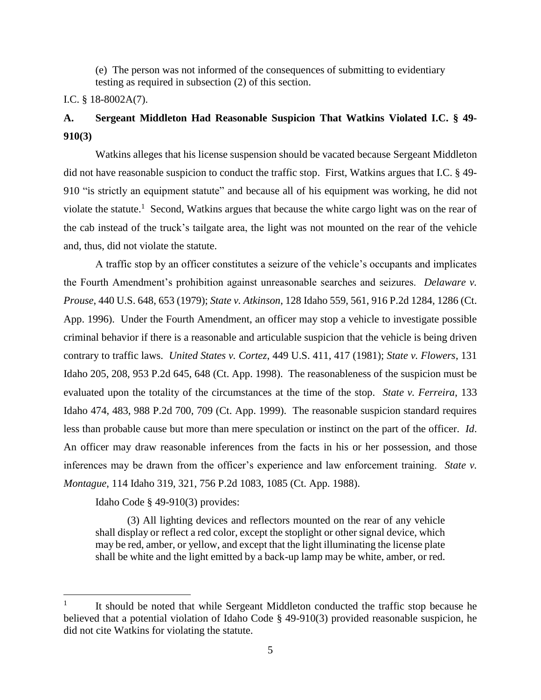(e) The person was not informed of the consequences of submitting to evidentiary testing as required in subsection (2) of this section.

# I.C. § 18-8002A(7).

# **A. Sergeant Middleton Had Reasonable Suspicion That Watkins Violated I.C. § 49- 910(3)**

Watkins alleges that his license suspension should be vacated because Sergeant Middleton did not have reasonable suspicion to conduct the traffic stop. First, Watkins argues that I.C. § 49- 910 "is strictly an equipment statute" and because all of his equipment was working, he did not violate the statute.<sup>1</sup> Second, Watkins argues that because the white cargo light was on the rear of the cab instead of the truck's tailgate area, the light was not mounted on the rear of the vehicle and, thus, did not violate the statute.

A traffic stop by an officer constitutes a seizure of the vehicle's occupants and implicates the Fourth Amendment's prohibition against unreasonable searches and seizures. *Delaware v. Prouse*, 440 U.S. 648, 653 (1979); *State v. Atkinson*, 128 Idaho 559, 561, 916 P.2d 1284, 1286 (Ct. App. 1996). Under the Fourth Amendment, an officer may stop a vehicle to investigate possible criminal behavior if there is a reasonable and articulable suspicion that the vehicle is being driven contrary to traffic laws. *United States v. Cortez*, 449 U.S. 411, 417 (1981); *State v. Flowers*, 131 Idaho 205, 208, 953 P.2d 645, 648 (Ct. App. 1998). The reasonableness of the suspicion must be evaluated upon the totality of the circumstances at the time of the stop. *State v. Ferreira*, 133 Idaho 474, 483, 988 P.2d 700, 709 (Ct. App. 1999). The reasonable suspicion standard requires less than probable cause but more than mere speculation or instinct on the part of the officer. *Id*. An officer may draw reasonable inferences from the facts in his or her possession, and those inferences may be drawn from the officer's experience and law enforcement training. *State v. Montague*, 114 Idaho 319, 321, 756 P.2d 1083, 1085 (Ct. App. 1988).

Idaho Code § 49-910(3) provides:

 $\overline{a}$ 

(3) All lighting devices and reflectors mounted on the rear of any vehicle shall display or reflect a red color, except the stoplight or other signal device, which may be red, amber, or yellow, and except that the light illuminating the license plate shall be white and the light emitted by a back-up lamp may be white, amber, or red.

<sup>1</sup> It should be noted that while Sergeant Middleton conducted the traffic stop because he believed that a potential violation of Idaho Code § 49-910(3) provided reasonable suspicion, he did not cite Watkins for violating the statute.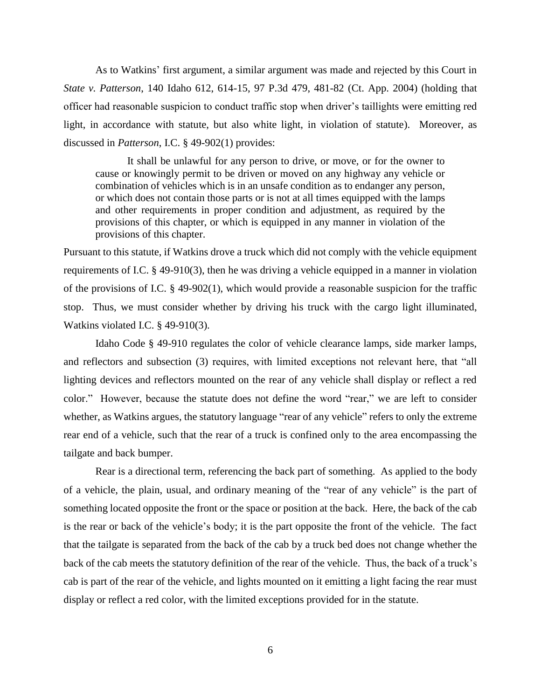As to Watkins' first argument, a similar argument was made and rejected by this Court in *State v. Patterson*, 140 Idaho 612, 614-15, 97 P.3d 479, 481-82 (Ct. App. 2004) (holding that officer had reasonable suspicion to conduct traffic stop when driver's taillights were emitting red light, in accordance with statute, but also white light, in violation of statute). Moreover, as discussed in *Patterson*, I.C. § 49-902(1) provides:

It shall be unlawful for any person to drive, or move, or for the owner to cause or knowingly permit to be driven or moved on any highway any vehicle or combination of vehicles which is in an unsafe condition as to endanger any person, or which does not contain those parts or is not at all times equipped with the lamps and other requirements in proper condition and adjustment, as required by the provisions of this chapter, or which is equipped in any manner in violation of the provisions of this chapter.

Pursuant to this statute, if Watkins drove a truck which did not comply with the vehicle equipment requirements of I.C. § 49-910(3), then he was driving a vehicle equipped in a manner in violation of the provisions of I.C. § 49-902(1), which would provide a reasonable suspicion for the traffic stop. Thus, we must consider whether by driving his truck with the cargo light illuminated, Watkins violated I.C. § 49-910(3).

Idaho Code § 49-910 regulates the color of vehicle clearance lamps, side marker lamps, and reflectors and subsection (3) requires, with limited exceptions not relevant here, that "all lighting devices and reflectors mounted on the rear of any vehicle shall display or reflect a red color." However, because the statute does not define the word "rear," we are left to consider whether, as Watkins argues, the statutory language "rear of any vehicle" refers to only the extreme rear end of a vehicle, such that the rear of a truck is confined only to the area encompassing the tailgate and back bumper.

Rear is a directional term, referencing the back part of something. As applied to the body of a vehicle, the plain, usual, and ordinary meaning of the "rear of any vehicle" is the part of something located opposite the front or the space or position at the back. Here, the back of the cab is the rear or back of the vehicle's body; it is the part opposite the front of the vehicle. The fact that the tailgate is separated from the back of the cab by a truck bed does not change whether the back of the cab meets the statutory definition of the rear of the vehicle. Thus, the back of a truck's cab is part of the rear of the vehicle, and lights mounted on it emitting a light facing the rear must display or reflect a red color, with the limited exceptions provided for in the statute.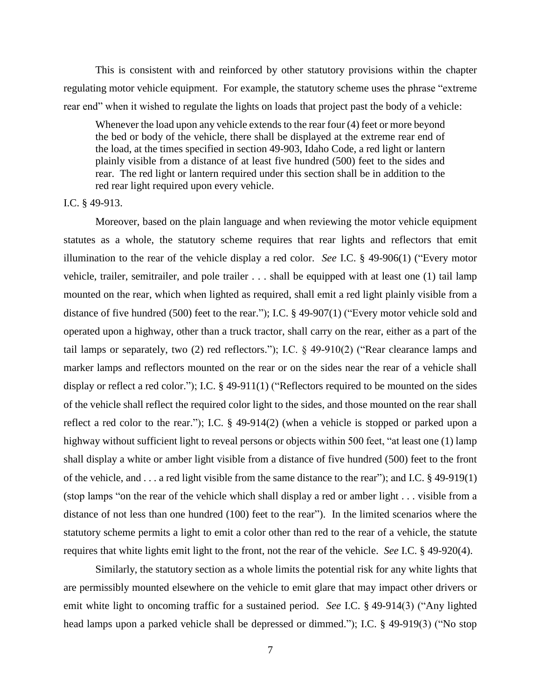This is consistent with and reinforced by other statutory provisions within the chapter regulating motor vehicle equipment. For example, the statutory scheme uses the phrase "extreme rear end" when it wished to regulate the lights on loads that project past the body of a vehicle:

Whenever the load upon any vehicle extends to the rear four (4) feet or more beyond the bed or body of the vehicle, there shall be displayed at the extreme rear end of the load, at the times specified in section 49-903, Idaho Code, a red light or lantern plainly visible from a distance of at least five hundred (500) feet to the sides and rear. The red light or lantern required under this section shall be in addition to the red rear light required upon every vehicle.

#### I.C. § 49-913.

Moreover, based on the plain language and when reviewing the motor vehicle equipment statutes as a whole, the statutory scheme requires that rear lights and reflectors that emit illumination to the rear of the vehicle display a red color. *See* I.C. § 49-906(1) ("Every motor vehicle, trailer, semitrailer, and pole trailer . . . shall be equipped with at least one (1) tail lamp mounted on the rear, which when lighted as required, shall emit a red light plainly visible from a distance of five hundred (500) feet to the rear."); I.C. § 49-907(1) ("Every motor vehicle sold and operated upon a highway, other than a truck tractor, shall carry on the rear, either as a part of the tail lamps or separately, two (2) red reflectors."); I.C. § 49-910(2) ("Rear clearance lamps and marker lamps and reflectors mounted on the rear or on the sides near the rear of a vehicle shall display or reflect a red color."); I.C. § 49-911(1) ("Reflectors required to be mounted on the sides of the vehicle shall reflect the required color light to the sides, and those mounted on the rear shall reflect a red color to the rear."); I.C. § 49-914(2) (when a vehicle is stopped or parked upon a highway without sufficient light to reveal persons or objects within 500 feet, "at least one (1) lamp shall display a white or amber light visible from a distance of five hundred (500) feet to the front of the vehicle, and . . . a red light visible from the same distance to the rear"); and I.C. § 49-919(1) (stop lamps "on the rear of the vehicle which shall display a red or amber light . . . visible from a distance of not less than one hundred (100) feet to the rear"). In the limited scenarios where the statutory scheme permits a light to emit a color other than red to the rear of a vehicle, the statute requires that white lights emit light to the front, not the rear of the vehicle. *See* I.C. § 49-920(4).

Similarly, the statutory section as a whole limits the potential risk for any white lights that are permissibly mounted elsewhere on the vehicle to emit glare that may impact other drivers or emit white light to oncoming traffic for a sustained period. *See* I.C. § 49-914(3) ("Any lighted head lamps upon a parked vehicle shall be depressed or dimmed."); I.C. § 49-919(3) ("No stop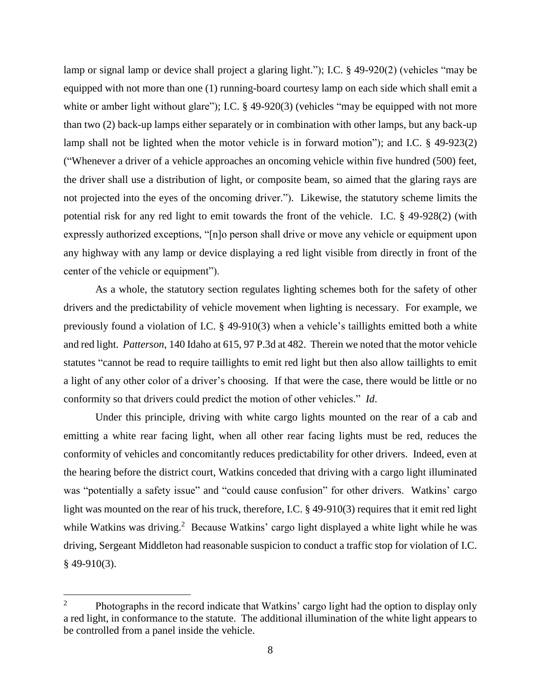lamp or signal lamp or device shall project a glaring light."); I.C. § 49-920(2) (vehicles "may be equipped with not more than one (1) running-board courtesy lamp on each side which shall emit a white or amber light without glare"); I.C. § 49-920(3) (vehicles "may be equipped with not more than two (2) back-up lamps either separately or in combination with other lamps, but any back-up lamp shall not be lighted when the motor vehicle is in forward motion"); and I.C. § 49-923(2) ("Whenever a driver of a vehicle approaches an oncoming vehicle within five hundred (500) feet, the driver shall use a distribution of light, or composite beam, so aimed that the glaring rays are not projected into the eyes of the oncoming driver."). Likewise, the statutory scheme limits the potential risk for any red light to emit towards the front of the vehicle. I.C. § 49-928(2) (with expressly authorized exceptions, "[n]o person shall drive or move any vehicle or equipment upon any highway with any lamp or device displaying a red light visible from directly in front of the center of the vehicle or equipment").

As a whole, the statutory section regulates lighting schemes both for the safety of other drivers and the predictability of vehicle movement when lighting is necessary. For example, we previously found a violation of I.C. § 49-910(3) when a vehicle's taillights emitted both a white and red light. *Patterson*, 140 Idaho at 615, 97 P.3d at 482. Therein we noted that the motor vehicle statutes "cannot be read to require taillights to emit red light but then also allow taillights to emit a light of any other color of a driver's choosing. If that were the case, there would be little or no conformity so that drivers could predict the motion of other vehicles." *Id*.

Under this principle, driving with white cargo lights mounted on the rear of a cab and emitting a white rear facing light, when all other rear facing lights must be red, reduces the conformity of vehicles and concomitantly reduces predictability for other drivers. Indeed, even at the hearing before the district court, Watkins conceded that driving with a cargo light illuminated was "potentially a safety issue" and "could cause confusion" for other drivers. Watkins' cargo light was mounted on the rear of his truck, therefore, I.C. § 49-910(3) requires that it emit red light while Watkins was driving.<sup>2</sup> Because Watkins' cargo light displayed a white light while he was driving, Sergeant Middleton had reasonable suspicion to conduct a traffic stop for violation of I.C.  $§$  49-910(3).

 $\overline{2}$ <sup>2</sup> Photographs in the record indicate that Watkins' cargo light had the option to display only a red light, in conformance to the statute. The additional illumination of the white light appears to be controlled from a panel inside the vehicle.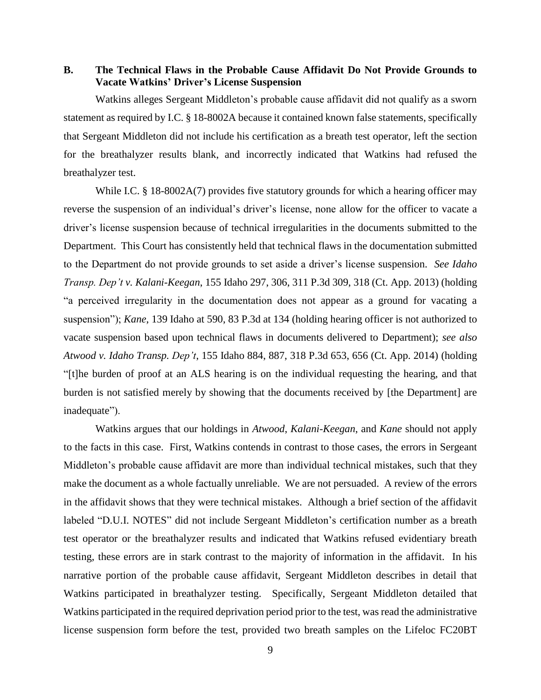**B. The Technical Flaws in the Probable Cause Affidavit Do Not Provide Grounds to Vacate Watkins' Driver's License Suspension** 

Watkins alleges Sergeant Middleton's probable cause affidavit did not qualify as a sworn statement as required by I.C. § 18-8002A because it contained known false statements, specifically that Sergeant Middleton did not include his certification as a breath test operator, left the section for the breathalyzer results blank, and incorrectly indicated that Watkins had refused the breathalyzer test.

While I.C. § 18-8002A(7) provides five statutory grounds for which a hearing officer may reverse the suspension of an individual's driver's license, none allow for the officer to vacate a driver's license suspension because of technical irregularities in the documents submitted to the Department. This Court has consistently held that technical flaws in the documentation submitted to the Department do not provide grounds to set aside a driver's license suspension. *See Idaho Transp. Dep't v. Kalani-Keegan*, 155 Idaho 297, 306, 311 P.3d 309, 318 (Ct. App. 2013) (holding "a perceived irregularity in the documentation does not appear as a ground for vacating a suspension"); *Kane*, 139 Idaho at 590, 83 P.3d at 134 (holding hearing officer is not authorized to vacate suspension based upon technical flaws in documents delivered to Department); *see also Atwood v. Idaho Transp. Dep't*, 155 Idaho 884, 887, 318 P.3d 653, 656 (Ct. App. 2014) (holding "[t]he burden of proof at an ALS hearing is on the individual requesting the hearing, and that burden is not satisfied merely by showing that the documents received by [the Department] are inadequate").

Watkins argues that our holdings in *Atwood*, *Kalani-Keegan*, and *Kane* should not apply to the facts in this case. First, Watkins contends in contrast to those cases, the errors in Sergeant Middleton's probable cause affidavit are more than individual technical mistakes, such that they make the document as a whole factually unreliable. We are not persuaded. A review of the errors in the affidavit shows that they were technical mistakes. Although a brief section of the affidavit labeled "D.U.I. NOTES" did not include Sergeant Middleton's certification number as a breath test operator or the breathalyzer results and indicated that Watkins refused evidentiary breath testing, these errors are in stark contrast to the majority of information in the affidavit. In his narrative portion of the probable cause affidavit, Sergeant Middleton describes in detail that Watkins participated in breathalyzer testing. Specifically, Sergeant Middleton detailed that Watkins participated in the required deprivation period prior to the test, was read the administrative license suspension form before the test, provided two breath samples on the Lifeloc FC20BT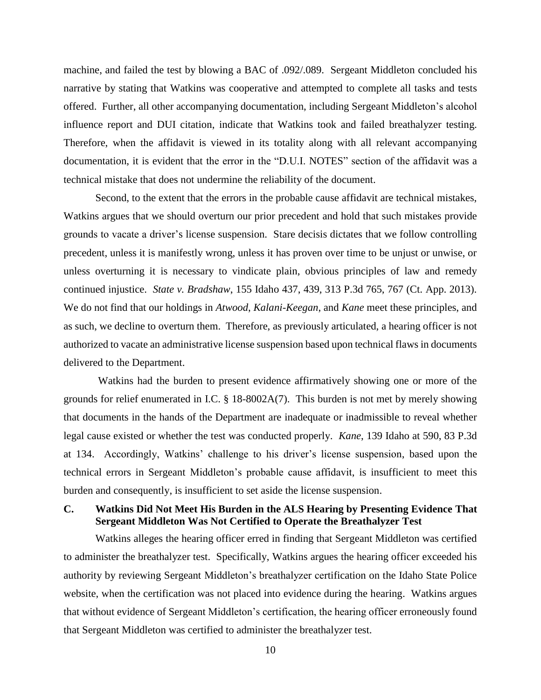machine, and failed the test by blowing a BAC of .092/.089. Sergeant Middleton concluded his narrative by stating that Watkins was cooperative and attempted to complete all tasks and tests offered. Further, all other accompanying documentation, including Sergeant Middleton's alcohol influence report and DUI citation, indicate that Watkins took and failed breathalyzer testing. Therefore, when the affidavit is viewed in its totality along with all relevant accompanying documentation, it is evident that the error in the "D.U.I. NOTES" section of the affidavit was a technical mistake that does not undermine the reliability of the document.

Second, to the extent that the errors in the probable cause affidavit are technical mistakes, Watkins argues that we should overturn our prior precedent and hold that such mistakes provide grounds to vacate a driver's license suspension. Stare decisis dictates that we follow controlling precedent, unless it is manifestly wrong, unless it has proven over time to be unjust or unwise, or unless overturning it is necessary to vindicate plain, obvious principles of law and remedy continued injustice. *State v. Bradshaw*, 155 Idaho 437, 439, 313 P.3d 765, 767 (Ct. App. 2013). We do not find that our holdings in *Atwood*, *Kalani-Keegan*, and *Kane* meet these principles, and as such, we decline to overturn them. Therefore, as previously articulated, a hearing officer is not authorized to vacate an administrative license suspension based upon technical flaws in documents delivered to the Department.

Watkins had the burden to present evidence affirmatively showing one or more of the grounds for relief enumerated in I.C. § 18-8002A(7). This burden is not met by merely showing that documents in the hands of the Department are inadequate or inadmissible to reveal whether legal cause existed or whether the test was conducted properly. *Kane*, 139 Idaho at 590, 83 P.3d at 134. Accordingly, Watkins' challenge to his driver's license suspension, based upon the technical errors in Sergeant Middleton's probable cause affidavit, is insufficient to meet this burden and consequently, is insufficient to set aside the license suspension.

# **C. Watkins Did Not Meet His Burden in the ALS Hearing by Presenting Evidence That Sergeant Middleton Was Not Certified to Operate the Breathalyzer Test**

Watkins alleges the hearing officer erred in finding that Sergeant Middleton was certified to administer the breathalyzer test. Specifically, Watkins argues the hearing officer exceeded his authority by reviewing Sergeant Middleton's breathalyzer certification on the Idaho State Police website, when the certification was not placed into evidence during the hearing. Watkins argues that without evidence of Sergeant Middleton's certification, the hearing officer erroneously found that Sergeant Middleton was certified to administer the breathalyzer test.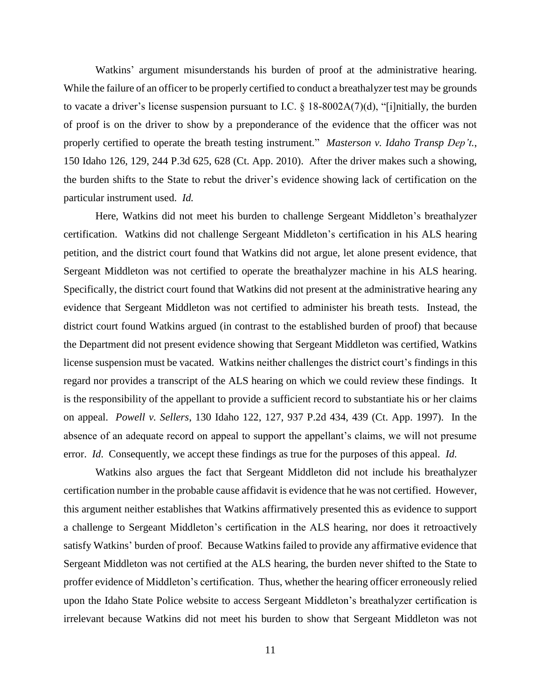Watkins' argument misunderstands his burden of proof at the administrative hearing. While the failure of an officer to be properly certified to conduct a breathalyzer test may be grounds to vacate a driver's license suspension pursuant to I.C.  $\S$  18-8002A(7)(d), "[i]nitially, the burden of proof is on the driver to show by a preponderance of the evidence that the officer was not properly certified to operate the breath testing instrument." *Masterson v. Idaho Transp Dep't.*, 150 Idaho 126, 129, 244 P.3d 625, 628 (Ct. App. 2010). After the driver makes such a showing, the burden shifts to the State to rebut the driver's evidence showing lack of certification on the particular instrument used. *Id.*

Here, Watkins did not meet his burden to challenge Sergeant Middleton's breathalyzer certification. Watkins did not challenge Sergeant Middleton's certification in his ALS hearing petition, and the district court found that Watkins did not argue, let alone present evidence, that Sergeant Middleton was not certified to operate the breathalyzer machine in his ALS hearing. Specifically, the district court found that Watkins did not present at the administrative hearing any evidence that Sergeant Middleton was not certified to administer his breath tests. Instead, the district court found Watkins argued (in contrast to the established burden of proof) that because the Department did not present evidence showing that Sergeant Middleton was certified, Watkins license suspension must be vacated. Watkins neither challenges the district court's findings in this regard nor provides a transcript of the ALS hearing on which we could review these findings. It is the responsibility of the appellant to provide a sufficient record to substantiate his or her claims on appeal. *Powell v. Sellers*, 130 Idaho 122, 127, 937 P.2d 434, 439 (Ct. App. 1997). In the absence of an adequate record on appeal to support the appellant's claims, we will not presume error. *Id*. Consequently, we accept these findings as true for the purposes of this appeal. *Id.*

Watkins also argues the fact that Sergeant Middleton did not include his breathalyzer certification number in the probable cause affidavit is evidence that he was not certified. However, this argument neither establishes that Watkins affirmatively presented this as evidence to support a challenge to Sergeant Middleton's certification in the ALS hearing, nor does it retroactively satisfy Watkins' burden of proof. Because Watkins failed to provide any affirmative evidence that Sergeant Middleton was not certified at the ALS hearing, the burden never shifted to the State to proffer evidence of Middleton's certification. Thus, whether the hearing officer erroneously relied upon the Idaho State Police website to access Sergeant Middleton's breathalyzer certification is irrelevant because Watkins did not meet his burden to show that Sergeant Middleton was not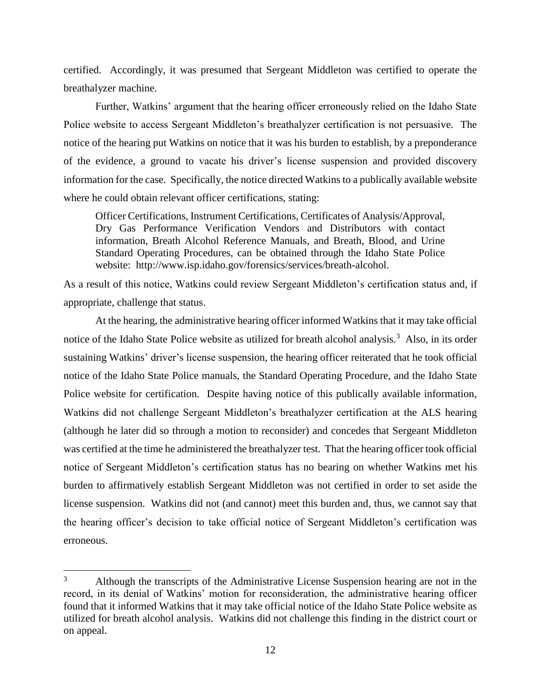certified. Accordingly, it was presumed that Sergeant Middleton was certified to operate the breathalyzer machine.

Further, Watkins' argument that the hearing officer erroneously relied on the Idaho State Police website to access Sergeant Middleton's breathalyzer certification is not persuasive. The notice of the hearing put Watkins on notice that it was his burden to establish, by a preponderance of the evidence, a ground to vacate his driver's license suspension and provided discovery information for the case. Specifically, the notice directed Watkins to a publically available website where he could obtain relevant officer certifications, stating:

Officer Certifications, Instrument Certifications, Certificates of Analysis/Approval, Dry Gas Performance Verification Vendors and Distributors with contact information, Breath Alcohol Reference Manuals, and Breath, Blood, and Urine Standard Operating Procedures, can be obtained through the Idaho State Police website: http://www.isp.idaho.gov/forensics/services/breath-alcohol.

As a result of this notice, Watkins could review Sergeant Middleton's certification status and, if appropriate, challenge that status.

At the hearing, the administrative hearing officer informed Watkins that it may take official notice of the Idaho State Police website as utilized for breath alcohol analysis.<sup>3</sup> Also, in its order sustaining Watkins' driver's license suspension, the hearing officer reiterated that he took official notice of the Idaho State Police manuals, the Standard Operating Procedure, and the Idaho State Police website for certification. Despite having notice of this publically available information, Watkins did not challenge Sergeant Middleton's breathalyzer certification at the ALS hearing (although he later did so through a motion to reconsider) and concedes that Sergeant Middleton was certified at the time he administered the breathalyzer test. That the hearing officer took official notice of Sergeant Middleton's certification status has no bearing on whether Watkins met his burden to affirmatively establish Sergeant Middleton was not certified in order to set aside the license suspension. Watkins did not (and cannot) meet this burden and, thus, we cannot say that the hearing officer's decision to take official notice of Sergeant Middleton's certification was erroneous.

 $\overline{a}$ 

<sup>&</sup>lt;sup>3</sup> Although the transcripts of the Administrative License Suspension hearing are not in the record, in its denial of Watkins' motion for reconsideration, the administrative hearing officer found that it informed Watkins that it may take official notice of the Idaho State Police website as utilized for breath alcohol analysis. Watkins did not challenge this finding in the district court or on appeal.